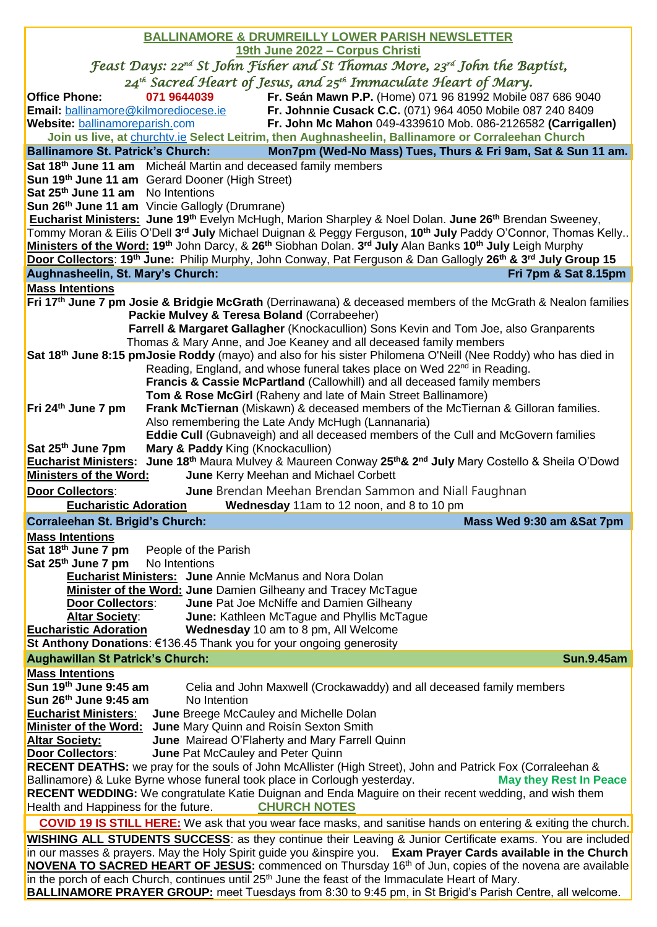|                                               | <b>BALLINAMORE &amp; DRUMREILLY LOWER PARISH NEWSLETTER</b>                                                                                                                                                                                      |
|-----------------------------------------------|--------------------------------------------------------------------------------------------------------------------------------------------------------------------------------------------------------------------------------------------------|
|                                               | 19th June 2022 - Corpus Christi                                                                                                                                                                                                                  |
|                                               | <i>Feast Days: 22<sup>nd</sup> St John Fisher and St Thomas More, 23<sup>rd</sup> John the Baptist,</i>                                                                                                                                          |
|                                               | 24 <sup>th</sup> Sacred Heart of Jesus, and 25 <sup>th</sup> Immaculate Heart of Mary.                                                                                                                                                           |
| <b>Office Phone:</b>                          | Fr. Seán Mawn P.P. (Home) 071 96 81992 Mobile 087 686 9040<br>071 9644039                                                                                                                                                                        |
| Email: ballinamore@kilmorediocese.ie          | Fr. Johnnie Cusack C.C. (071) 964 4050 Mobile 087 240 8409                                                                                                                                                                                       |
| Website: ballinamoreparish.com                | Fr. John Mc Mahon 049-4339610 Mob. 086-2126582 (Carrigallen)<br>Join us live, at churchtv.ie Select Leitrim, then Aughnasheelin, Ballinamore or Corraleehan Church                                                                               |
| <b>Ballinamore St. Patrick's Church:</b>      | Mon7pm (Wed-No Mass) Tues, Thurs & Fri 9am, Sat & Sun 11 am.                                                                                                                                                                                     |
|                                               | Sat 18 <sup>th</sup> June 11 am Micheál Martin and deceased family members                                                                                                                                                                       |
|                                               | Sun 19th June 11 am Gerard Dooner (High Street)                                                                                                                                                                                                  |
| Sat 25 <sup>th</sup> June 11 am No Intentions |                                                                                                                                                                                                                                                  |
|                                               | Sun 26 <sup>th</sup> June 11 am Vincie Gallogly (Drumrane)                                                                                                                                                                                       |
|                                               | Eucharist Ministers: June 19 <sup>th</sup> Evelyn McHugh, Marion Sharpley & Noel Dolan. June 26 <sup>th</sup> Brendan Sweeney,                                                                                                                   |
|                                               | Tommy Moran & Eilis O'Dell 3 <sup>rd</sup> July Michael Duignan & Peggy Ferguson, 10 <sup>th</sup> July Paddy O'Connor, Thomas Kelly<br>Ministers of the Word: 19th John Darcy, & 26th Siobhan Dolan. 3rd July Alan Banks 10th July Leigh Murphy |
|                                               | Door Collectors: 19th June: Philip Murphy, John Conway, Pat Ferguson & Dan Gallogly 26th & 3rd July Group 15                                                                                                                                     |
| Aughnasheelin, St. Mary's Church:             | Fri 7pm & Sat 8.15pm                                                                                                                                                                                                                             |
| <b>Mass Intentions</b>                        |                                                                                                                                                                                                                                                  |
|                                               | Fri 17th June 7 pm Josie & Bridgie McGrath (Derrinawana) & deceased members of the McGrath & Nealon families                                                                                                                                     |
|                                               | Packie Mulvey & Teresa Boland (Corrabeeher)                                                                                                                                                                                                      |
|                                               | Farrell & Margaret Gallagher (Knockacullion) Sons Kevin and Tom Joe, also Granparents                                                                                                                                                            |
|                                               | Thomas & Mary Anne, and Joe Keaney and all deceased family members                                                                                                                                                                               |
|                                               | Sat 18 <sup>th</sup> June 8:15 pm Josie Roddy (mayo) and also for his sister Philomena O'Neill (Nee Roddy) who has died in<br>Reading, England, and whose funeral takes place on Wed 22 <sup>nd</sup> in Reading.                                |
|                                               | Francis & Cassie McPartland (Callowhill) and all deceased family members                                                                                                                                                                         |
|                                               | Tom & Rose McGirl (Raheny and late of Main Street Ballinamore)                                                                                                                                                                                   |
| Fri 24 <sup>th</sup> June 7 pm                | Frank McTiernan (Miskawn) & deceased members of the McTiernan & Gilloran families.                                                                                                                                                               |
|                                               | Also remembering the Late Andy McHugh (Lannanaria)                                                                                                                                                                                               |
|                                               | Eddie Cull (Gubnaveigh) and all deceased members of the Cull and McGovern families                                                                                                                                                               |
| Sat 25 <sup>th</sup> June 7pm                 | Mary & Paddy King (Knockacullion)<br>Eucharist Ministers: June 18th Maura Mulvey & Maureen Conway 25th& 2nd July Mary Costello & Sheila O'Dowd                                                                                                   |
| Ministers of the Word:                        | June Kerry Meehan and Michael Corbett                                                                                                                                                                                                            |
|                                               |                                                                                                                                                                                                                                                  |
|                                               |                                                                                                                                                                                                                                                  |
| Door Collectors:                              | June Brendan Meehan Brendan Sammon and Niall Faughnan                                                                                                                                                                                            |
| <b>Eucharistic Adoration</b>                  | Wednesday 11am to 12 noon, and 8 to 10 pm                                                                                                                                                                                                        |
| Corraleehan St. Brigid's Church:              | Mass Wed 9:30 am &Sat 7pm                                                                                                                                                                                                                        |
| <b>Mass Intentions</b><br>Sat 18th June 7 pm  | People of the Parish                                                                                                                                                                                                                             |
| Sat 25 <sup>th</sup> June 7 pm                | No Intentions                                                                                                                                                                                                                                    |
|                                               | <b>Eucharist Ministers: June Annie McManus and Nora Dolan</b>                                                                                                                                                                                    |
|                                               | Minister of the Word: June Damien Gilheany and Tracey McTague                                                                                                                                                                                    |
| <b>Door Collectors:</b>                       | June Pat Joe McNiffe and Damien Gilheany                                                                                                                                                                                                         |
| <b>Altar Society:</b>                         | June: Kathleen McTague and Phyllis McTague                                                                                                                                                                                                       |
| <b>Eucharistic Adoration</b>                  | Wednesday 10 am to 8 pm, All Welcome<br>St Anthony Donations: €136.45 Thank you for your ongoing generosity                                                                                                                                      |
| <b>Aughawillan St Patrick's Church:</b>       | <b>Sun.9.45am</b>                                                                                                                                                                                                                                |
| <b>Mass Intentions</b>                        |                                                                                                                                                                                                                                                  |
| Sun 19th June 9:45 am                         | Celia and John Maxwell (Crockawaddy) and all deceased family members                                                                                                                                                                             |
| Sun 26th June 9:45 am                         | No Intention                                                                                                                                                                                                                                     |
| <b>Eucharist Ministers:</b>                   | June Breege McCauley and Michelle Dolan                                                                                                                                                                                                          |
| <b>Minister of the Word:</b>                  | June Mary Quinn and Roisín Sexton Smith                                                                                                                                                                                                          |
| <b>Altar Society:</b><br>Door Collectors:     | June Mairead O'Flaherty and Mary Farrell Quinn<br>June Pat McCauley and Peter Quinn                                                                                                                                                              |
|                                               | RECENT DEATHS: we pray for the souls of John McAllister (High Street), John and Patrick Fox (Corraleehan &                                                                                                                                       |
|                                               | Ballinamore) & Luke Byrne whose funeral took place in Corlough yesterday.<br><b>May they Rest In Peace</b>                                                                                                                                       |
|                                               | <b>RECENT WEDDING:</b> We congratulate Katie Duignan and Enda Maguire on their recent wedding, and wish them                                                                                                                                     |
| Health and Happiness for the future.          | <b>CHURCH NOTES</b>                                                                                                                                                                                                                              |
|                                               | <b>COVID 19 IS STILL HERE:</b> We ask that you wear face masks, and sanitise hands on entering & exiting the church.                                                                                                                             |
|                                               | <b>WISHING ALL STUDENTS SUCCESS:</b> as they continue their Leaving & Junior Certificate exams. You are included                                                                                                                                 |
|                                               | in our masses & prayers. May the Holy Spirit guide you &inspire you. Exam Prayer Cards available in the Church                                                                                                                                   |
|                                               | <b>NOVENA TO SACRED HEART OF JESUS:</b> commenced on Thursday 16 <sup>th</sup> of Jun, copies of the novena are available<br>in the porch of each Church, continues until 25 <sup>th</sup> June the feast of the Immaculate Heart of Mary.       |